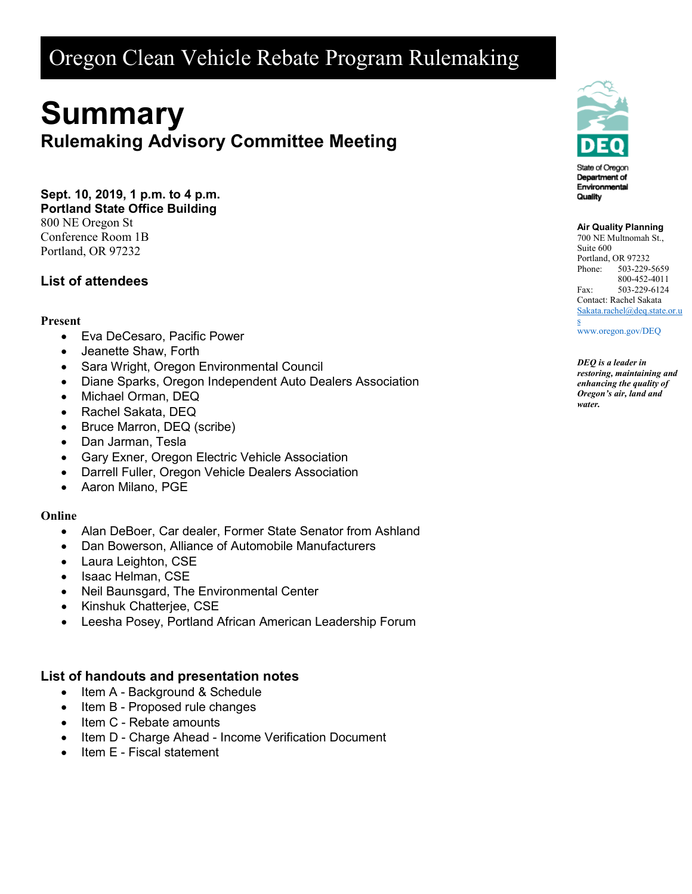# Oregon Clean Vehicle Rebate Program Rulemaking

# **Summary Rulemaking Advisory Committee Meeting**

**Sept. 10, 2019, 1 p.m. to 4 p.m. Portland State Office Building** 800 NE Oregon St

Conference Room 1B Portland, OR 97232

## **List of attendees**

#### **Present**

- Eva DeCesaro, Pacific Power
- Jeanette Shaw, Forth
- Sara Wright, Oregon Environmental Council
- Diane Sparks, Oregon Independent Auto Dealers Association
- Michael Orman, DEQ
- Rachel Sakata, DEQ
- Bruce Marron, DEQ (scribe)
- Dan Jarman, Tesla
- Gary Exner, Oregon Electric Vehicle Association
- Darrell Fuller, Oregon Vehicle Dealers Association
- Aaron Milano, PGE

#### **Online**

- Alan DeBoer, Car dealer, Former State Senator from Ashland
- Dan Bowerson, Alliance of Automobile Manufacturers
- Laura Leighton, CSE
- Isaac Helman, CSE
- Neil Baunsgard, The Environmental Center
- Kinshuk Chatterjee, CSE
- Leesha Posey, Portland African American Leadership Forum

### **List of handouts and presentation notes**

- Item A Background & Schedule
- Item B Proposed rule changes
- Item C Rebate amounts
- Item D Charge Ahead Income Verification Document
- Item E Fiscal statement



#### **Air Quality Planning**

700 NE Multnomah St., Suite 600 Portland, OR 97232 Phone: 503-229-5659 800-452-4011 Fax: 503-229-6124 Contact: Rachel Sakata [Sakata.rachel@deq.state.or.u](mailto:Sakata.rachel@deq.state.or.us)

[s](mailto:Sakata.rachel@deq.state.or.us) [www.oregon.gov/DEQ](file://deq001/templates/General/www.oregon.gov/DEQ)

*DEQ is a leader in restoring, maintaining and enhancing the quality of Oregon's air, land and water.*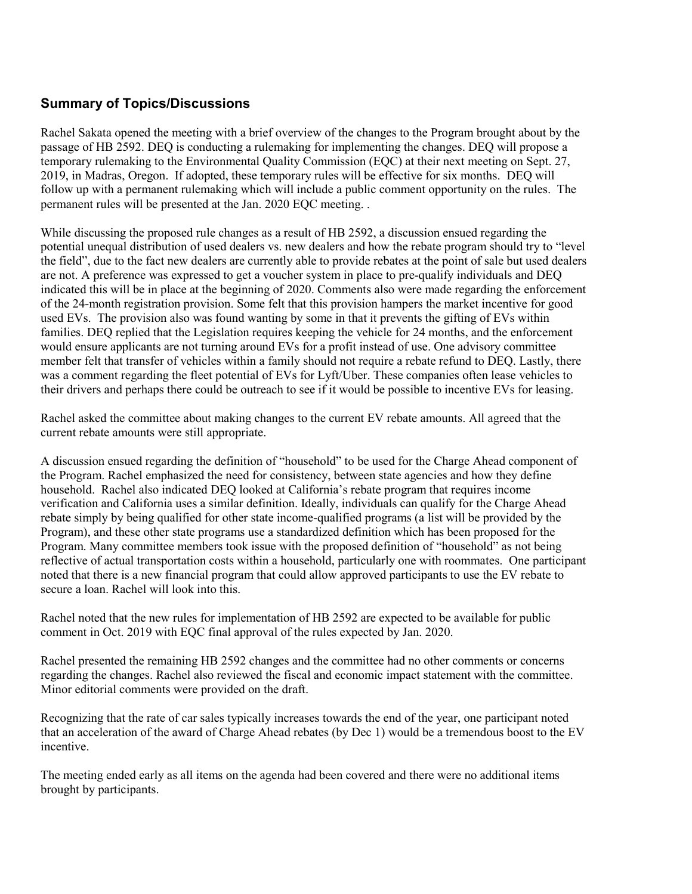## **Summary of Topics/Discussions**

Rachel Sakata opened the meeting with a brief overview of the changes to the Program brought about by the passage of HB 2592. DEQ is conducting a rulemaking for implementing the changes. DEQ will propose a temporary rulemaking to the Environmental Quality Commission (EQC) at their next meeting on Sept. 27, 2019, in Madras, Oregon. If adopted, these temporary rules will be effective for six months. DEQ will follow up with a permanent rulemaking which will include a public comment opportunity on the rules. The permanent rules will be presented at the Jan. 2020 EQC meeting. .

While discussing the proposed rule changes as a result of HB 2592, a discussion ensued regarding the potential unequal distribution of used dealers vs. new dealers and how the rebate program should try to "level the field", due to the fact new dealers are currently able to provide rebates at the point of sale but used dealers are not. A preference was expressed to get a voucher system in place to pre-qualify individuals and DEQ indicated this will be in place at the beginning of 2020. Comments also were made regarding the enforcement of the 24-month registration provision. Some felt that this provision hampers the market incentive for good used EVs. The provision also was found wanting by some in that it prevents the gifting of EVs within families. DEQ replied that the Legislation requires keeping the vehicle for 24 months, and the enforcement would ensure applicants are not turning around EVs for a profit instead of use. One advisory committee member felt that transfer of vehicles within a family should not require a rebate refund to DEQ. Lastly, there was a comment regarding the fleet potential of EVs for Lyft/Uber. These companies often lease vehicles to their drivers and perhaps there could be outreach to see if it would be possible to incentive EVs for leasing.

Rachel asked the committee about making changes to the current EV rebate amounts. All agreed that the current rebate amounts were still appropriate.

A discussion ensued regarding the definition of "household" to be used for the Charge Ahead component of the Program. Rachel emphasized the need for consistency, between state agencies and how they define household. Rachel also indicated DEQ looked at California's rebate program that requires income verification and California uses a similar definition. Ideally, individuals can qualify for the Charge Ahead rebate simply by being qualified for other state income-qualified programs (a list will be provided by the Program), and these other state programs use a standardized definition which has been proposed for the Program. Many committee members took issue with the proposed definition of "household" as not being reflective of actual transportation costs within a household, particularly one with roommates. One participant noted that there is a new financial program that could allow approved participants to use the EV rebate to secure a loan. Rachel will look into this.

Rachel noted that the new rules for implementation of HB 2592 are expected to be available for public comment in Oct. 2019 with EQC final approval of the rules expected by Jan. 2020.

Rachel presented the remaining HB 2592 changes and the committee had no other comments or concerns regarding the changes. Rachel also reviewed the fiscal and economic impact statement with the committee. Minor editorial comments were provided on the draft.

Recognizing that the rate of car sales typically increases towards the end of the year, one participant noted that an acceleration of the award of Charge Ahead rebates (by Dec 1) would be a tremendous boost to the EV incentive.

The meeting ended early as all items on the agenda had been covered and there were no additional items brought by participants.